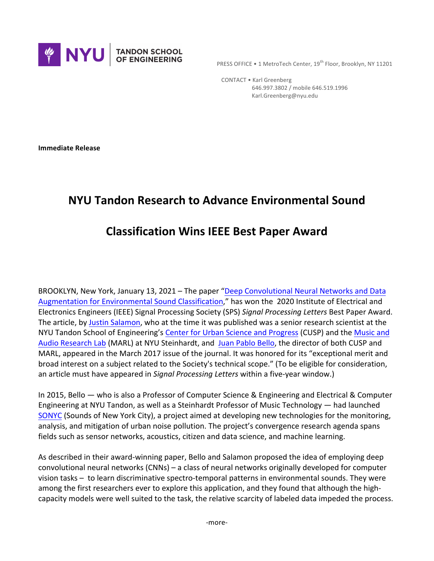

**PRESS OFFICE • 1 MetroTech Center, 19th Floor, Brooklyn, NY 11201** 

 CONTACT • Karl Greenberg 646.997.3802 / mobile 646.519.1996 Karl.Greenberg@nyu.edu

**Immediate Release** 

## **NYU Tandon Research to Advance Environmental Sound**

## **Classification Wins IEEE Best Paper Award**

BROOKLYN, New York, January 13, 2021 – The paper "Deep Convolutional Neural Networks and Data Augmentation for Environmental Sound Classification," has won the 2020 Institute of Electrical and Electronics Engineers (IEEE) Signal Processing Society (SPS) Signal Processing Letters Best Paper Award. The article, by Justin Salamon, who at the time it was published was a senior research scientist at the NYU Tandon School of Engineering's Center for Urban Science and Progress (CUSP) and the Music and Audio Research Lab (MARL) at NYU Steinhardt, and Juan Pablo Bello, the director of both CUSP and MARL, appeared in the March 2017 issue of the journal. It was honored for its "exceptional merit and broad interest on a subject related to the Society's technical scope." (To be eligible for consideration, an article must have appeared in *Signal Processing Letters* within a five-year window.)

In 2015, Bello — who is also a Professor of Computer Science & Engineering and Electrical & Computer Engineering at NYU Tandon, as well as a Steinhardt Professor of Music Technology — had launched SONYC (Sounds of New York City), a project aimed at developing new technologies for the monitoring, analysis, and mitigation of urban noise pollution. The project's convergence research agenda spans fields such as sensor networks, acoustics, citizen and data science, and machine learning.

As described in their award-winning paper, Bello and Salamon proposed the idea of employing deep convolutional neural networks (CNNs) – a class of neural networks originally developed for computer vision tasks – to learn discriminative spectro-temporal patterns in environmental sounds. They were among the first researchers ever to explore this application, and they found that although the highcapacity models were well suited to the task, the relative scarcity of labeled data impeded the process.